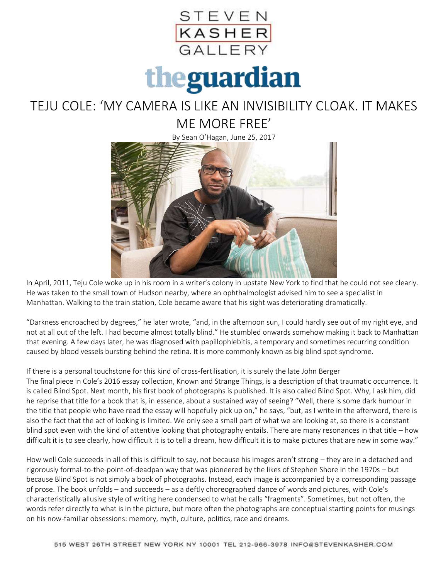

## theguardian

## TEJU COLE: 'MY CAMERA IS LIKE AN INVISIBILITY CLOAK. IT MAKES ME MORE FREE'

By Sean O'Hagan, June 25, 2017



In April, 2011, Teju Cole woke up in his room in a writer's colony in upstate New York to find that he could not see clearly. He was taken to the small town of Hudson nearby, where an ophthalmologist advised him to see a specialist in Manhattan. Walking to the train station, Cole became aware that his sight was deteriorating dramatically.

"Darkness encroached by degrees," he later wrote, "and, in the afternoon sun, I could hardly see out of my right eye, and not at all out of the left. I had become almost totally blind." He stumbled onwards somehow making it back to Manhattan that evening. A few days later, he was diagnosed with papillophlebitis, a temporary and sometimes recurring condition caused by blood vessels bursting behind the retina. It is more commonly known as big blind spot syndrome.

## If there is a personal touchstone for this kind of cross-fertilisation, it is surely the late John Berger

The final piece in Cole's 2016 essay collection, Known and Strange Things, is a description of that traumatic occurrence. It is called Blind Spot. Next month, his first book of photographs is published. It is also called Blind Spot. Why, I ask him, did he reprise that title for a book that is, in essence, about a sustained way of seeing? "Well, there is some dark humour in the title that people who have read the essay will hopefully pick up on," he says, "but, as I write in the afterword, there is also the fact that the act of looking is limited. We only see a small part of what we are looking at, so there is a constant blind spot even with the kind of attentive looking that photography entails. There are many resonances in that title – how difficult it is to see clearly, how difficult it is to tell a dream, how difficult it is to make pictures that are new in some way."

How well Cole succeeds in all of this is difficult to say, not because his images aren't strong – they are in a detached and rigorously formal-to-the-point-of-deadpan way that was pioneered by the likes of Stephen Shore in the 1970s – but because Blind Spot is not simply a book of photographs. Instead, each image is accompanied by a corresponding passage of prose. The book unfolds – and succeeds – as a deftly choreographed dance of words and pictures, with Cole's characteristically allusive style of writing here condensed to what he calls "fragments". Sometimes, but not often, the words refer directly to what is in the picture, but more often the photographs are conceptual starting points for musings on his now-familiar obsessions: memory, myth, culture, politics, race and dreams.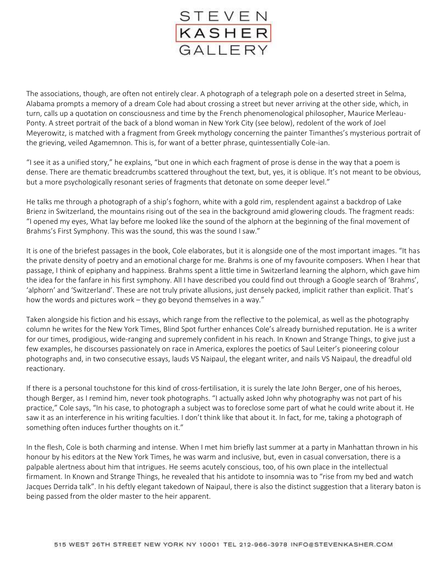

The associations, though, are often not entirely clear. A photograph of a telegraph pole on a deserted street in Selma, Alabama prompts a memory of a dream Cole had about crossing a street but never arriving at the other side, which, in turn, calls up a quotation on consciousness and time by the French phenomenological philosopher, Maurice Merleau-Ponty. A street portrait of the back of a blond woman in New York City (see below), redolent of the work of Joel Meyerowitz, is matched with a fragment from Greek mythology concerning the painter Timanthes's mysterious portrait of the grieving, veiled Agamemnon. This is, for want of a better phrase, quintessentially Cole-ian.

"I see it as a unified story," he explains, "but one in which each fragment of prose is dense in the way that a poem is dense. There are thematic breadcrumbs scattered throughout the text, but, yes, it is oblique. It's not meant to be obvious, but a more psychologically resonant series of fragments that detonate on some deeper level."

He talks me through a photograph of a ship's foghorn, white with a gold rim, resplendent against a backdrop of Lake Brienz in Switzerland, the mountains rising out of the sea in the background amid glowering clouds. The fragment reads: "I opened my eyes, What lay before me looked like the sound of the alphorn at the beginning of the final movement of Brahms's First Symphony. This was the sound, this was the sound I saw."

It is one of the briefest passages in the book, Cole elaborates, but it is alongside one of the most important images. "It has the private density of poetry and an emotional charge for me. Brahms is one of my favourite composers. When I hear that passage, I think of epiphany and happiness. Brahms spent a little time in Switzerland learning the alphorn, which gave him the idea for the fanfare in his first symphony. All I have described you could find out through a Google search of 'Brahms', 'alphorn' and 'Switzerland'. These are not truly private allusions, just densely packed, implicit rather than explicit. That's how the words and pictures work – they go beyond themselves in a way."

Taken alongside his fiction and his essays, which range from the reflective to the polemical, as well as the photography column he writes for the New York Times, Blind Spot further enhances Cole's already burnished reputation. He is a writer for our times, prodigious, wide-ranging and supremely confident in his reach. In Known and Strange Things, to give just a few examples, he discourses passionately on race in America, explores the poetics of Saul Leiter's pioneering colour photographs and, in two consecutive essays, lauds VS Naipaul, the elegant writer, and nails VS Naipaul, the dreadful old reactionary.

If there is a personal touchstone for this kind of cross-fertilisation, it is surely the late John Berger, one of his heroes, though Berger, as I remind him, never took photographs. "I actually asked John why photography was not part of his practice," Cole says, "In his case, to photograph a subject was to foreclose some part of what he could write about it. He saw it as an interference in his writing faculties. I don't think like that about it. In fact, for me, taking a photograph of something often induces further thoughts on it."

In the flesh, Cole is both charming and intense. When I met him briefly last summer at a party in Manhattan thrown in his honour by his editors at the New York Times, he was warm and inclusive, but, even in casual conversation, there is a palpable alertness about him that intrigues. He seems acutely conscious, too, of his own place in the intellectual firmament. In Known and Strange Things, he revealed that his antidote to insomnia was to "rise from my bed and watch Jacques Derrida talk". In his deftly elegant takedown of Naipaul, there is also the distinct suggestion that a literary baton is being passed from the older master to the heir apparent.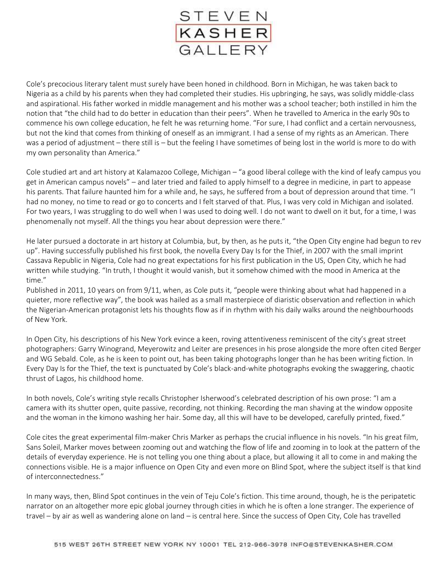

Cole's precocious literary talent must surely have been honed in childhood. Born in Michigan, he was taken back to Nigeria as a child by his parents when they had completed their studies. His upbringing, he says, was solidly middle-class and aspirational. His father worked in middle management and his mother was a school teacher; both instilled in him the notion that "the child had to do better in education than their peers". When he travelled to America in the early 90s to commence his own college education, he felt he was returning home. "For sure, I had conflict and a certain nervousness, but not the kind that comes from thinking of oneself as an immigrant. I had a sense of my rights as an American. There was a period of adjustment – there still is – but the feeling I have sometimes of being lost in the world is more to do with my own personality than America."

Cole studied art and art history at Kalamazoo College, Michigan – "a good liberal college with the kind of leafy campus you get in American campus novels" – and later tried and failed to apply himself to a degree in medicine, in part to appease his parents. That failure haunted him for a while and, he says, he suffered from a bout of depression around that time. "I had no money, no time to read or go to concerts and I felt starved of that. Plus, I was very cold in Michigan and isolated. For two years, I was struggling to do well when I was used to doing well. I do not want to dwell on it but, for a time, I was phenomenally not myself. All the things you hear about depression were there."

He later pursued a doctorate in art history at Columbia, but, by then, as he puts it, "the Open City engine had begun to rev up". Having successfully published his first book, the novella Every Day Is for the Thief, in 2007 with the small imprint Cassava Republic in Nigeria, Cole had no great expectations for his first publication in the US, Open City, which he had written while studying. "In truth, I thought it would vanish, but it somehow chimed with the mood in America at the time."

Published in 2011, 10 years on from 9/11, when, as Cole puts it, "people were thinking about what had happened in a quieter, more reflective way", the book was hailed as a small masterpiece of diaristic observation and reflection in which the Nigerian-American protagonist lets his thoughts flow as if in rhythm with his daily walks around the neighbourhoods of New York.

In Open City, his descriptions of his New York evince a keen, roving attentiveness reminiscent of the city's great street photographers: Garry Winogrand, Meyerowitz and Leiter are presences in his prose alongside the more often cited Berger and WG Sebald. Cole, as he is keen to point out, has been taking photographs longer than he has been writing fiction. In Every Day Is for the Thief, the text is punctuated by Cole's black-and-white photographs evoking the swaggering, chaotic thrust of Lagos, his childhood home.

In both novels, Cole's writing style recalls Christopher Isherwood's celebrated description of his own prose: "I am a camera with its shutter open, quite passive, recording, not thinking. Recording the man shaving at the window opposite and the woman in the kimono washing her hair. Some day, all this will have to be developed, carefully printed, fixed."

Cole cites the great experimental film-maker Chris Marker as perhaps the crucial influence in his novels. "In his great film, Sans Soleil, Marker moves between zooming out and watching the flow of life and zooming in to look at the pattern of the details of everyday experience. He is not telling you one thing about a place, but allowing it all to come in and making the connections visible. He is a major influence on Open City and even more on Blind Spot, where the subject itself is that kind of interconnectedness."

In many ways, then, Blind Spot continues in the vein of Teju Cole's fiction. This time around, though, he is the peripatetic narrator on an altogether more epic global journey through cities in which he is often a lone stranger. The experience of travel – by air as well as wandering alone on land – is central here. Since the success of Open City, Cole has travelled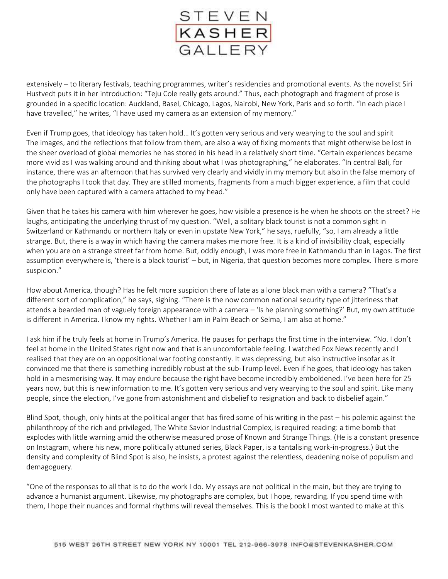

extensively – to literary festivals, teaching programmes, writer's residencies and promotional events. As the novelist Siri Hustvedt puts it in her introduction: "Teju Cole really gets around." Thus, each photograph and fragment of prose is grounded in a specific location: Auckland, Basel, Chicago, Lagos, Nairobi, New York, Paris and so forth. "In each place I have travelled," he writes, "I have used my camera as an extension of my memory."

Even if Trump goes, that ideology has taken hold… It's gotten very serious and very wearying to the soul and spirit The images, and the reflections that follow from them, are also a way of fixing moments that might otherwise be lost in the sheer overload of global memories he has stored in his head in a relatively short time. "Certain experiences became more vivid as I was walking around and thinking about what I was photographing," he elaborates. "In central Bali, for instance, there was an afternoon that has survived very clearly and vividly in my memory but also in the false memory of the photographs I took that day. They are stilled moments, fragments from a much bigger experience, a film that could only have been captured with a camera attached to my head."

Given that he takes his camera with him wherever he goes, how visible a presence is he when he shoots on the street? He laughs, anticipating the underlying thrust of my question. "Well, a solitary black tourist is not a common sight in Switzerland or Kathmandu or northern Italy or even in upstate New York," he says, ruefully, "so, I am already a little strange. But, there is a way in which having the camera makes me more free. It is a kind of invisibility cloak, especially when you are on a strange street far from home. But, oddly enough, I was more free in Kathmandu than in Lagos. The first assumption everywhere is, 'there is a black tourist' – but, in Nigeria, that question becomes more complex. There is more suspicion."

How about America, though? Has he felt more suspicion there of late as a lone black man with a camera? "That's a different sort of complication," he says, sighing. "There is the now common national security type of jitteriness that attends a bearded man of vaguely foreign appearance with a camera – 'Is he planning something?' But, my own attitude is different in America. I know my rights. Whether I am in Palm Beach or Selma, I am also at home."

I ask him if he truly feels at home in Trump's America. He pauses for perhaps the first time in the interview. "No. I don't feel at home in the United States right now and that is an uncomfortable feeling. I watched Fox News recently and I realised that they are on an oppositional war footing constantly. It was depressing, but also instructive insofar as it convinced me that there is something incredibly robust at the sub-Trump level. Even if he goes, that ideology has taken hold in a mesmerising way. It may endure because the right have become incredibly emboldened. I've been here for 25 years now, but this is new information to me. It's gotten very serious and very wearying to the soul and spirit. Like many people, since the election, I've gone from astonishment and disbelief to resignation and back to disbelief again."

Blind Spot, though, only hints at the political anger that has fired some of his writing in the past – his polemic against the philanthropy of the rich and privileged, The White Savior Industrial Complex, is required reading: a time bomb that explodes with little warning amid the otherwise measured prose of Known and Strange Things. (He is a constant presence on Instagram, where his new, more politically attuned series, Black Paper, is a tantalising work-in-progress.) But the density and complexity of Blind Spot is also, he insists, a protest against the relentless, deadening noise of populism and demagoguery.

"One of the responses to all that is to do the work I do. My essays are not political in the main, but they are trying to advance a humanist argument. Likewise, my photographs are complex, but I hope, rewarding. If you spend time with them, I hope their nuances and formal rhythms will reveal themselves. This is the book I most wanted to make at this